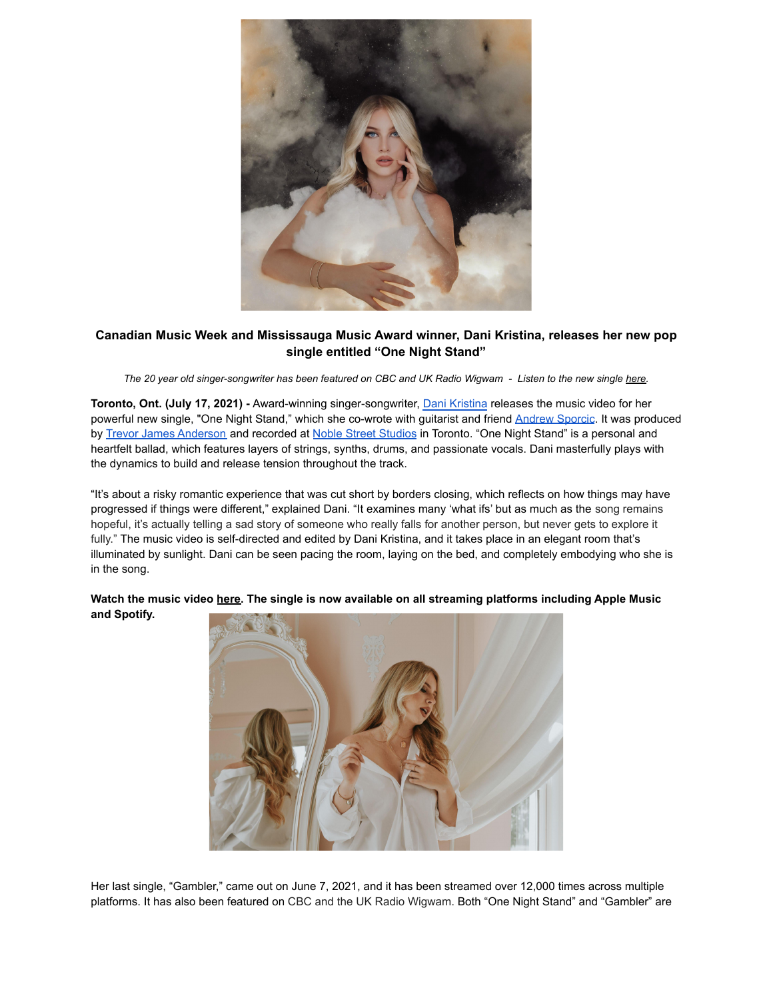

## **Canadian Music Week and Mississauga Music Award winner, Dani Kristina, releases her new pop single entitled "One Night Stand"**

The 20 year old singer-songwriter has been featured on CBC and UK Radio Wigwam - Listen to the new single here.

**Toronto, Ont. (July 17, 2021) -** Award-winning singer-songwriter, [Dani Kristina](https://www.danikristina.com/) releases the music video for her powerful new single, "One Night Stand," which she co-wrote with guitarist and friend [Andrew Sporcic](https://www.facebook.com/andrewsporcicmusic/). It was produced by [Trevor James Anderson](https://www.trevorjamesanderson.com/) and recorded at [Noble Street](https://www.noblestreetstudios.com/home) Studios in Toronto. "One Night Stand" is a personal and heartfelt ballad, which features layers of strings, synths, drums, and passionate vocals. Dani masterfully plays with the dynamics to build and release tension throughout the track.

"It's about a risky romantic experience that was cut short by borders closing, which reflects on how things may have progressed if things were different," explained Dani. "It examines many 'what ifs' but as much as the song remains hopeful, it's actually telling a sad story of someone who really falls for another person, but never gets to explore it fully." The music video is self-directed and edited by Dani Kristina, and it takes place in an elegant room that's illuminated by sunlight. Dani can be seen pacing the room, laying on the bed, and completely embodying who she is in the song.



**Watch the music video here. The single is now available on all streaming platforms including Apple Music and Spotify.**

Her last single, "Gambler," came out on June 7, 2021, and it has been streamed over 12,000 times across multiple platforms. It has also been featured on CBC and the UK Radio Wigwam. Both "One Night Stand" and "Gambler" are